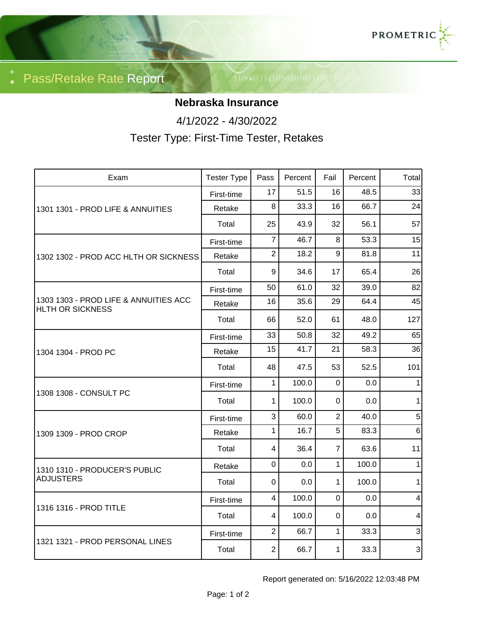

Pass/Retake Rate Report

## **Nebraska Insurance**

4/1/2022 - 4/30/2022

Tester Type: First-Time Tester, Retakes

| Exam                                                             | <b>Tester Type</b> | Pass           | Percent | Fail           | Percent | Total          |
|------------------------------------------------------------------|--------------------|----------------|---------|----------------|---------|----------------|
| 1301 1301 - PROD LIFE & ANNUITIES                                | First-time         | 17             | 51.5    | 16             | 48.5    | 33             |
|                                                                  | Retake             | 8              | 33.3    | 16             | 66.7    | 24             |
|                                                                  | Total              | 25             | 43.9    | 32             | 56.1    | 57             |
| 1302 1302 - PROD ACC HLTH OR SICKNESS                            | First-time         | $\overline{7}$ | 46.7    | 8              | 53.3    | 15             |
|                                                                  | Retake             | $\overline{2}$ | 18.2    | 9              | 81.8    | 11             |
|                                                                  | Total              | 9              | 34.6    | 17             | 65.4    | 26             |
| 1303 1303 - PROD LIFE & ANNUITIES ACC<br><b>HLTH OR SICKNESS</b> | First-time         | 50             | 61.0    | 32             | 39.0    | 82             |
|                                                                  | Retake             | 16             | 35.6    | 29             | 64.4    | 45             |
|                                                                  | Total              | 66             | 52.0    | 61             | 48.0    | 127            |
| 1304 1304 - PROD PC                                              | First-time         | 33             | 50.8    | 32             | 49.2    | 65             |
|                                                                  | Retake             | 15             | 41.7    | 21             | 58.3    | 36             |
|                                                                  | Total              | 48             | 47.5    | 53             | 52.5    | 101            |
| 1308 1308 - CONSULT PC                                           | First-time         | 1              | 100.0   | $\pmb{0}$      | 0.0     | 1              |
|                                                                  | Total              | 1              | 100.0   | $\mathbf 0$    | 0.0     | 1              |
| 1309 1309 - PROD CROP                                            | First-time         | 3              | 60.0    | $\overline{2}$ | 40.0    | 5              |
|                                                                  | Retake             | 1              | 16.7    | 5              | 83.3    | 6 <sup>1</sup> |
|                                                                  | Total              | $\overline{4}$ | 36.4    | $\overline{7}$ | 63.6    | 11             |
| 1310 1310 - PRODUCER'S PUBLIC<br><b>ADJUSTERS</b>                | Retake             | $\mathbf 0$    | 0.0     | $\mathbf{1}$   | 100.0   | 1              |
|                                                                  | Total              | $\overline{0}$ | 0.0     | $\mathbf 1$    | 100.0   | 1              |
| 1316 1316 - PROD TITLE                                           | First-time         | $\overline{4}$ | 100.0   | $\mathbf 0$    | 0.0     | 4              |
|                                                                  | Total              | 4              | 100.0   | $\mathbf 0$    | 0.0     | 4              |
| 1321 1321 - PROD PERSONAL LINES                                  | First-time         | $\overline{2}$ | 66.7    | $\mathbf{1}$   | 33.3    | $\mathbf{3}$   |
|                                                                  | Total              | $\overline{2}$ | 66.7    | $\mathbf{1}$   | 33.3    | $\overline{3}$ |